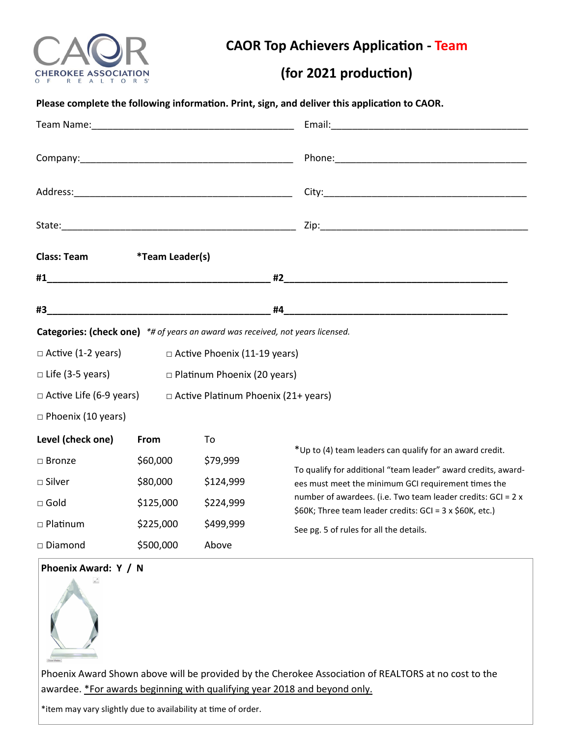

**CAOR Top Achievers Application - Team** 

## **(for 2021 production)**

|                                                                                |                               |                                            | Please complete the following information. Print, sign, and deliver this application to CAOR.                                                                       |  |
|--------------------------------------------------------------------------------|-------------------------------|--------------------------------------------|---------------------------------------------------------------------------------------------------------------------------------------------------------------------|--|
|                                                                                |                               |                                            |                                                                                                                                                                     |  |
|                                                                                |                               |                                            |                                                                                                                                                                     |  |
|                                                                                |                               |                                            |                                                                                                                                                                     |  |
|                                                                                |                               |                                            |                                                                                                                                                                     |  |
| <b>Class: Team</b>                                                             | <i><b>*Team Leader(s)</b></i> |                                            |                                                                                                                                                                     |  |
|                                                                                |                               |                                            |                                                                                                                                                                     |  |
|                                                                                |                               |                                            | #4                                                                                                                                                                  |  |
| Categories: (check one) *# of years an award was received, not years licensed. |                               |                                            |                                                                                                                                                                     |  |
| $\Box$ Active (1-2 years)<br>□ Active Phoenix (11-19 years)                    |                               |                                            |                                                                                                                                                                     |  |
| $\Box$ Life (3-5 years)                                                        |                               | □ Platinum Phoenix (20 years)              |                                                                                                                                                                     |  |
| $\Box$ Active Life (6-9 years)                                                 |                               | $\Box$ Active Platinum Phoenix (21+ years) |                                                                                                                                                                     |  |
| $\Box$ Phoenix (10 years)                                                      |                               |                                            |                                                                                                                                                                     |  |
| Level (check one)                                                              | From                          | To                                         |                                                                                                                                                                     |  |
| $\square$ Bronze                                                               | \$60,000                      | \$79,999                                   | *Up to (4) team leaders can qualify for an award credit.<br>To qualify for additional "team leader" award credits, award-                                           |  |
| $\square$ Silver                                                               | \$80,000                      | \$124,999                                  | ees must meet the minimum GCI requirement times the                                                                                                                 |  |
| $\square$ Gold                                                                 | \$125,000                     | \$224,999                                  | number of awardees. (i.e. Two team leader credits: GCI = 2 x<br>\$60K; Three team leader credits: GCI = 3 x \$60K, etc.)<br>See pg. 5 of rules for all the details. |  |
| □ Platinum                                                                     | \$225,000                     | \$499,999                                  |                                                                                                                                                                     |  |
| □ Diamond                                                                      | \$500,000                     | Above                                      |                                                                                                                                                                     |  |
| Phoenix Award: Y / N<br>$\kappa$ $^{\prime\prime}$                             |                               |                                            |                                                                                                                                                                     |  |

Phoenix Award Shown above will be provided by the Cherokee Association of REALTORS at no cost to the awardee. \*For awards beginning with qualifying year 2018 and beyond only.

\*item may vary slightly due to availability at time of order.

 $\begin{picture}(20,10) \put(0,0){\line(1,0){10}} \put(15,0){\line(1,0){10}} \put(15,0){\line(1,0){10}} \put(15,0){\line(1,0){10}} \put(15,0){\line(1,0){10}} \put(15,0){\line(1,0){10}} \put(15,0){\line(1,0){10}} \put(15,0){\line(1,0){10}} \put(15,0){\line(1,0){10}} \put(15,0){\line(1,0){10}} \put(15,0){\line(1,0){10}} \put(15,0){\line(1$